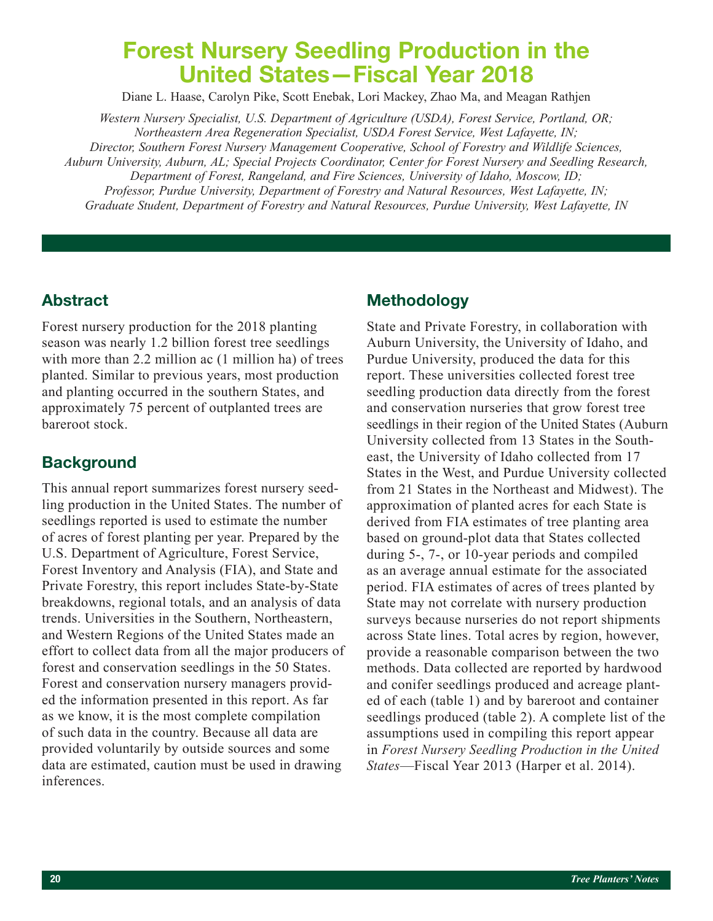# Forest Nursery Seedling Production in the United States—Fiscal Year 2018

Diane L. Haase, Carolyn Pike, Scott Enebak, Lori Mackey, Zhao Ma, and Meagan Rathjen

*Western Nursery Specialist, U.S. Department of Agriculture (USDA), Forest Service, Portland, OR; Northeastern Area Regeneration Specialist, USDA Forest Service, West Lafayette, IN; Director, Southern Forest Nursery Management Cooperative, School of Forestry and Wildlife Sciences,* 

*Auburn University, Auburn, AL; Special Projects Coordinator, Center for Forest Nursery and Seedling Research, Department of Forest, Rangeland, and Fire Sciences, University of Idaho, Moscow, ID;* 

*Professor, Purdue University, Department of Forestry and Natural Resources, West Lafayette, IN; Graduate Student, Department of Forestry and Natural Resources, Purdue University, West Lafayette, IN*

## Abstract

Forest nursery production for the 2018 planting season was nearly 1.2 billion forest tree seedlings with more than 2.2 million ac (1 million ha) of trees planted. Similar to previous years, most production and planting occurred in the southern States, and approximately 75 percent of outplanted trees are bareroot stock.

# **Background**

This annual report summarizes forest nursery seedling production in the United States. The number of seedlings reported is used to estimate the number of acres of forest planting per year. Prepared by the U.S. Department of Agriculture, Forest Service, Forest Inventory and Analysis (FIA), and State and Private Forestry, this report includes State-by-State breakdowns, regional totals, and an analysis of data trends. Universities in the Southern, Northeastern, and Western Regions of the United States made an effort to collect data from all the major producers of forest and conservation seedlings in the 50 States. Forest and conservation nursery managers provided the information presented in this report. As far as we know, it is the most complete compilation of such data in the country. Because all data are provided voluntarily by outside sources and some data are estimated, caution must be used in drawing inferences.

## Methodology

State and Private Forestry, in collaboration with Auburn University, the University of Idaho, and Purdue University, produced the data for this report. These universities collected forest tree seedling production data directly from the forest and conservation nurseries that grow forest tree seedlings in their region of the United States (Auburn University collected from 13 States in the Southeast, the University of Idaho collected from 17 States in the West, and Purdue University collected from 21 States in the Northeast and Midwest). The approximation of planted acres for each State is derived from FIA estimates of tree planting area based on ground-plot data that States collected during 5-, 7-, or 10-year periods and compiled as an average annual estimate for the associated period. FIA estimates of acres of trees planted by State may not correlate with nursery production surveys because nurseries do not report shipments across State lines. Total acres by region, however, provide a reasonable comparison between the two methods. Data collected are reported by hardwood and conifer seedlings produced and acreage planted of each (table 1) and by bareroot and container seedlings produced (table 2). A complete list of the assumptions used in compiling this report appear in *Forest Nursery Seedling Production in the United States*—Fiscal Year 2013 (Harper et al. 2014).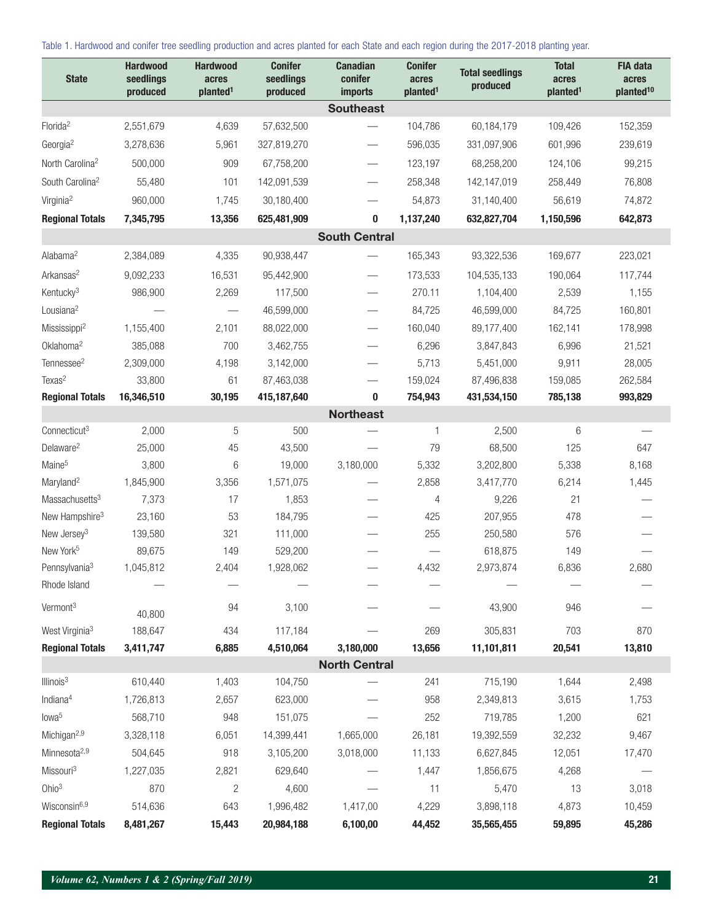Table 1. Hardwood and conifer tree seedling production and acres planted for each State and each region during the 2017-2018 planting year.

| <b>State</b>                | <b>Hardwood</b><br>seedlings<br>produced | <b>Hardwood</b><br>acres<br>planted <sup>1</sup> | <b>Conifer</b><br>seedlings<br>produced | <b>Canadian</b><br>conifer<br><b>imports</b> | <b>Conifer</b><br>acres<br>planted <sup>1</sup> | <b>Total seedlings</b><br>produced | <b>Total</b><br>acres<br>planted <sup>1</sup> | <b>FIA data</b><br>acres<br>planted <sup>10</sup> |
|-----------------------------|------------------------------------------|--------------------------------------------------|-----------------------------------------|----------------------------------------------|-------------------------------------------------|------------------------------------|-----------------------------------------------|---------------------------------------------------|
|                             |                                          |                                                  |                                         | <b>Southeast</b>                             |                                                 |                                    |                                               |                                                   |
| Florida <sup>2</sup>        | 2,551,679                                | 4,639                                            | 57,632,500                              |                                              | 104,786                                         | 60,184,179                         | 109,426                                       | 152,359                                           |
| Georgia <sup>2</sup>        | 3,278,636                                | 5,961                                            | 327,819,270                             |                                              | 596,035                                         | 331,097,906                        | 601,996                                       | 239,619                                           |
| North Carolina <sup>2</sup> | 500,000                                  | 909                                              | 67,758,200                              |                                              | 123,197                                         | 68,258,200                         | 124,106                                       | 99,215                                            |
| South Carolina <sup>2</sup> | 55,480                                   | 101                                              | 142,091,539                             | $\overline{\phantom{0}}$                     | 258,348                                         | 142,147,019                        | 258,449                                       | 76,808                                            |
| Virginia <sup>2</sup>       | 960,000                                  | 1,745                                            | 30,180,400                              |                                              | 54,873                                          | 31,140,400                         | 56,619                                        | 74,872                                            |
| <b>Regional Totals</b>      | 7,345,795                                | 13,356                                           | 625,481,909                             | 0                                            | 1,137,240                                       | 632,827,704                        | 1,150,596                                     | 642,873                                           |
|                             |                                          |                                                  |                                         | <b>South Central</b>                         |                                                 |                                    |                                               |                                                   |
| Alabama <sup>2</sup>        | 2,384,089                                | 4,335                                            | 90,938,447                              |                                              | 165,343                                         | 93,322,536                         | 169,677                                       | 223,021                                           |
| Arkansas <sup>2</sup>       | 9,092,233                                | 16,531                                           | 95,442,900                              |                                              | 173,533                                         | 104,535,133                        | 190,064                                       | 117,744                                           |
| Kentucky <sup>3</sup>       | 986,900                                  | 2,269                                            | 117,500                                 |                                              | 270.11                                          | 1,104,400                          | 2,539                                         | 1,155                                             |
| Lousiana <sup>2</sup>       |                                          |                                                  | 46,599,000                              |                                              | 84,725                                          | 46,599,000                         | 84,725                                        | 160,801                                           |
| Mississippi <sup>2</sup>    | 1,155,400                                | 2,101                                            | 88,022,000                              | $\overbrace{\phantom{13333}}$                | 160,040                                         | 89,177,400                         | 162,141                                       | 178,998                                           |
| Oklahoma <sup>2</sup>       | 385,088                                  | 700                                              | 3,462,755                               | $\overline{\phantom{0}}$                     | 6,296                                           | 3,847,843                          | 6,996                                         | 21,521                                            |
| Tennessee <sup>2</sup>      | 2,309,000                                | 4,198                                            | 3,142,000                               | $\overline{\phantom{0}}$                     | 5,713                                           | 5,451,000                          | 9,911                                         | 28,005                                            |
| Texas <sup>2</sup>          | 33,800                                   | 61                                               | 87,463,038                              |                                              | 159,024                                         | 87,496,838                         | 159,085                                       | 262,584                                           |
| <b>Regional Totals</b>      | 16,346,510                               | 30,195                                           | 415,187,640                             | 0                                            | 754,943                                         | 431,534,150                        | 785,138                                       | 993,829                                           |
|                             |                                          |                                                  |                                         | <b>Northeast</b>                             |                                                 |                                    |                                               |                                                   |
| Connecticut <sup>3</sup>    | 2,000                                    | 5                                                | 500                                     |                                              | 1                                               | 2,500                              | 6                                             |                                                   |
| Delaware <sup>2</sup>       | 25,000                                   | 45                                               | 43,500                                  |                                              | 79                                              | 68,500                             | 125                                           | 647                                               |
| Maine <sup>5</sup>          | 3,800                                    | 6                                                | 19,000                                  | 3,180,000                                    | 5,332                                           | 3,202,800                          | 5,338                                         | 8,168                                             |
| Maryland <sup>2</sup>       | 1,845,900                                | 3,356                                            | 1,571,075                               |                                              | 2,858                                           | 3,417,770                          | 6,214                                         | 1,445                                             |
| Massachusetts <sup>3</sup>  | 7,373                                    | 17                                               | 1,853                                   |                                              | 4                                               | 9,226                              | 21                                            |                                                   |
| New Hampshire <sup>3</sup>  | 23,160                                   | 53                                               | 184,795                                 |                                              | 425                                             | 207,955                            | 478                                           |                                                   |
| New Jersey <sup>3</sup>     | 139,580                                  | 321                                              | 111,000                                 |                                              | 255                                             | 250,580                            | 576                                           |                                                   |
| New York <sup>5</sup>       | 89,675                                   | 149                                              | 529,200                                 |                                              |                                                 | 618,875                            | 149                                           |                                                   |
| Pennsylvania <sup>3</sup>   | 1,045,812                                | 2,404                                            | 1,928,062                               |                                              | 4,432                                           | 2,973,874                          | 6,836                                         | 2,680                                             |
| Rhode Island                |                                          |                                                  |                                         |                                              |                                                 |                                    |                                               |                                                   |
| Vermont <sup>3</sup>        | 40,800                                   | 94                                               | 3,100                                   |                                              |                                                 | 43,900                             | 946                                           |                                                   |
| West Virginia <sup>3</sup>  | 188,647                                  | 434                                              | 117,184                                 |                                              | 269                                             | 305,831                            | 703                                           | 870                                               |
| <b>Regional Totals</b>      | 3,411,747                                | 6,885                                            | 4,510,064                               | 3,180,000                                    | 13,656                                          | 11,101,811                         | 20,541                                        | 13,810                                            |
|                             |                                          |                                                  |                                         | <b>North Central</b>                         |                                                 |                                    |                                               |                                                   |
| Illinois <sup>3</sup>       | 610,440                                  | 1,403                                            | 104,750                                 |                                              | 241                                             | 715,190                            | 1,644                                         | 2,498                                             |
| Indiana <sup>4</sup>        | 1,726,813                                | 2,657                                            | 623,000                                 |                                              | 958                                             | 2,349,813                          | 3,615                                         | 1,753                                             |
| lowa <sup>5</sup>           | 568,710                                  | 948                                              | 151,075                                 |                                              | 252                                             | 719,785                            | 1,200                                         | 621                                               |
| Michigan <sup>2,9</sup>     | 3,328,118                                | 6,051                                            | 14,399,441                              | 1,665,000                                    | 26,181                                          | 19,392,559                         | 32,232                                        | 9,467                                             |
| Minnesota <sup>2,9</sup>    | 504,645                                  | 918                                              | 3,105,200                               | 3,018,000                                    | 11,133                                          | 6,627,845                          | 12,051                                        | 17,470                                            |
| Missouri <sup>3</sup>       | 1,227,035                                | 2,821                                            | 629,640                                 |                                              | 1,447                                           | 1,856,675                          | 4,268                                         |                                                   |
| Ohio <sup>3</sup>           | 870                                      | $\sqrt{2}$                                       | 4,600                                   |                                              | 11                                              | 5,470                              | 13                                            | 3,018                                             |
| Wisconsin <sup>6,9</sup>    | 514,636                                  | 643                                              | 1,996,482                               | 1,417,00                                     | 4,229                                           | 3,898,118                          | 4,873                                         | 10,459                                            |
| <b>Regional Totals</b>      | 8,481,267                                | 15,443                                           | 20,984,188                              | 6,100,00                                     | 44,452                                          | 35,565,455                         | 59,895                                        | 45,286                                            |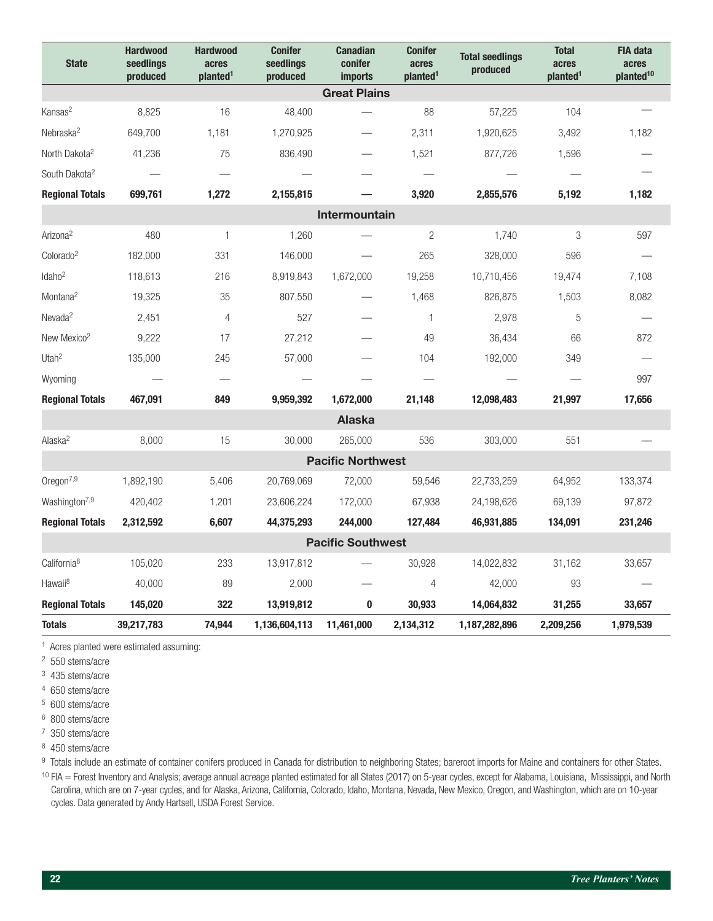| <b>State</b>              | <b>Hardwood</b><br>seedlings<br>produced | <b>Hardwood</b><br>acres<br>planted <sup>1</sup> | <b>Conifer</b><br>seedlings<br>produced | <b>Canadian</b><br>conifer<br>imports | <b>Conifer</b><br>acres<br>planted <sup>1</sup> | <b>Total seedlings</b><br>produced | <b>Total</b><br>acres<br>planted <sup>1</sup> | <b>FIA data</b><br>acres<br>planted <sup>10</sup> |  |  |
|---------------------------|------------------------------------------|--------------------------------------------------|-----------------------------------------|---------------------------------------|-------------------------------------------------|------------------------------------|-----------------------------------------------|---------------------------------------------------|--|--|
| <b>Great Plains</b>       |                                          |                                                  |                                         |                                       |                                                 |                                    |                                               |                                                   |  |  |
| Kansas <sup>2</sup>       | 8,825                                    | 16                                               | 48,400                                  |                                       | 88                                              | 57,225                             | 104                                           |                                                   |  |  |
| Nebraska <sup>2</sup>     | 649,700                                  | 1,181                                            | 1,270,925                               |                                       | 2,311                                           | 1,920,625                          | 3,492                                         | 1,182                                             |  |  |
| North Dakota <sup>2</sup> | 41,236                                   | 75                                               | 836,490                                 |                                       | 1,521                                           | 877,726                            | 1,596                                         |                                                   |  |  |
| South Dakota <sup>2</sup> |                                          |                                                  |                                         |                                       |                                                 |                                    |                                               |                                                   |  |  |
| <b>Regional Totals</b>    | 699,761                                  | 1,272                                            | 2,155,815                               |                                       | 3,920                                           | 2,855,576                          | 5,192                                         | 1,182                                             |  |  |
|                           |                                          |                                                  |                                         | Intermountain                         |                                                 |                                    |                                               |                                                   |  |  |
| Arizona <sup>2</sup>      | 480                                      | $\mathbf{1}$                                     | 1,260                                   |                                       | $\overline{2}$                                  | 1.740                              | 3                                             | 597                                               |  |  |
| Colorado <sup>2</sup>     | 182,000                                  | 331                                              | 146,000                                 |                                       | 265                                             | 328,000                            | 596                                           |                                                   |  |  |
| Idaho <sup>2</sup>        | 118,613                                  | 216                                              | 8,919,843                               | 1,672,000                             | 19,258                                          | 10,710,456                         | 19,474                                        | 7,108                                             |  |  |
| Montana <sup>2</sup>      | 19,325                                   | 35                                               | 807,550                                 |                                       | 1,468                                           | 826,875                            | 1,503                                         | 8,082                                             |  |  |
| Nevada <sup>2</sup>       | 2,451                                    | $\overline{4}$                                   | 527                                     |                                       | $\mathbf{1}$                                    | 2,978                              | 5                                             |                                                   |  |  |
| New Mexico <sup>2</sup>   | 9,222                                    | 17                                               | 27,212                                  |                                       | 49                                              | 36,434                             | 66                                            | 872                                               |  |  |
| Utah $2$                  | 135,000                                  | 245                                              | 57,000                                  |                                       | 104                                             | 192,000                            | 349                                           |                                                   |  |  |
| Wyoming                   |                                          |                                                  |                                         |                                       |                                                 |                                    |                                               | 997                                               |  |  |
| <b>Regional Totals</b>    | 467,091                                  | 849                                              | 9,959,392                               | 1,672,000                             | 21,148                                          | 12,098,483                         | 21,997                                        | 17,656                                            |  |  |
| <b>Alaska</b>             |                                          |                                                  |                                         |                                       |                                                 |                                    |                                               |                                                   |  |  |
| Alaska <sup>2</sup>       | 8,000                                    | 15                                               | 30,000                                  | 265,000                               | 536                                             | 303,000                            | 551                                           |                                                   |  |  |
|                           |                                          |                                                  |                                         | <b>Pacific Northwest</b>              |                                                 |                                    |                                               |                                                   |  |  |
| Oregon <sup>7,9</sup>     | 1,892,190                                | 5,406                                            | 20,769,069                              | 72,000                                | 59,546                                          | 22,733,259                         | 64,952                                        | 133,374                                           |  |  |
| Washington <sup>7,9</sup> | 420,402                                  | 1,201                                            | 23,606,224                              | 172,000                               | 67,938                                          | 24,198,626                         | 69,139                                        | 97,872                                            |  |  |
| <b>Regional Totals</b>    | 2,312,592                                | 6,607                                            | 44,375,293                              | 244,000                               | 127,484                                         | 46,931,885                         | 134,091                                       | 231,246                                           |  |  |
| <b>Pacific Southwest</b>  |                                          |                                                  |                                         |                                       |                                                 |                                    |                                               |                                                   |  |  |
| California <sup>8</sup>   | 105,020                                  | 233                                              | 13,917,812                              |                                       | 30,928                                          | 14,022,832                         | 31,162                                        | 33,657                                            |  |  |
| Hawaii <sup>8</sup>       | 40,000                                   | 89                                               | 2,000                                   |                                       | 4                                               | 42,000                             | 93                                            |                                                   |  |  |
| <b>Regional Totals</b>    | 145,020                                  | 322                                              | 13,919,812                              | $\bf{0}$                              | 30,933                                          | 14,064,832                         | 31,255                                        | 33,657                                            |  |  |
| <b>Totals</b>             | 39,217,783                               | 74,944                                           | 1,136,604,113                           | 11,461,000                            | 2,134,312                                       | 1,187,282,896                      | 2,209,256                                     | 1,979,539                                         |  |  |

1 Acres planted were estimated assuming:

2 550 stems/acre

3 435 stems/acre

4 650 stems/acre

5 600 stems/acre

6 800 stems/acre

7 350 stems/acre

8 450 stems/acre

9 Totals include an estimate of container conifers produced in Canada for distribution to neighboring States; bareroot imports for Maine and containers for other States. <sup>10</sup> FIA = Forest Inventory and Analysis; average annual acreage planted estimated for all States (2017) on 5-year cycles, except for Alabama, Louisiana, Mississippi, and North Carolina, which are on 7-year cycles, and for Alaska, Arizona, California, Colorado, Idaho, Montana, Nevada, New Mexico, Oregon, and Washington, which are on 10-year cycles. Data generated by Andy Hartsell, USDA Forest Service.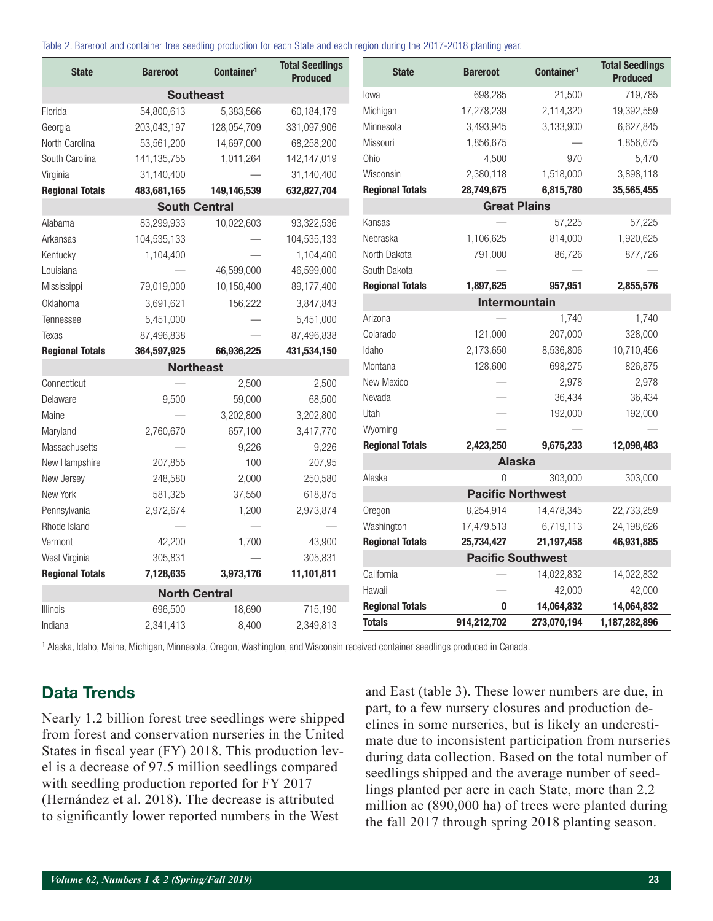Table 2. Bareroot and container tree seedling production for each State and each region during the 2017-2018 planting year.

| <b>State</b>           | <b>Bareroot</b>      | Container <sup>1</sup> | <b>Total Seedlings</b><br><b>Produced</b> | <b>State</b>           | <b>Bareroot</b>          | Container <sup>1</sup> | <b>Total Seedlings</b><br><b>Produced</b> |
|------------------------|----------------------|------------------------|-------------------------------------------|------------------------|--------------------------|------------------------|-------------------------------------------|
|                        | <b>Southeast</b>     |                        |                                           | lowa                   | 698,285                  | 21,500                 | 719,785                                   |
| Florida                | 54,800,613           | 5,383,566              | 60,184,179                                | Michigan               | 17,278,239               | 2,114,320              | 19,392,559                                |
| Georgia                | 203,043,197          | 128,054,709            | 331,097,906                               | Minnesota              | 3,493,945                | 3,133,900              | 6,627,845                                 |
| North Carolina         | 53,561,200           | 14,697,000             | 68,258,200                                | Missouri               | 1,856,675                |                        | 1,856,675                                 |
| South Carolina         | 141, 135, 755        | 1,011,264              | 142,147,019                               | Ohio                   | 4,500                    | 970                    | 5,470                                     |
| Virginia               | 31,140,400           |                        | 31,140,400                                | Wisconsin              | 2,380,118                | 1,518,000              | 3,898,118                                 |
| <b>Regional Totals</b> | 483,681,165          | 149,146,539            | 632,827,704                               | <b>Regional Totals</b> | 28,749,675               | 6,815,780              | 35,565,455                                |
|                        | <b>South Central</b> |                        |                                           |                        | <b>Great Plains</b>      |                        |                                           |
| Alabama                | 83,299,933           | 10,022,603             | 93,322,536                                | Kansas                 |                          | 57,225                 | 57,225                                    |
| Arkansas               | 104,535,133          |                        | 104,535,133                               | Nebraska               | 1,106,625                | 814,000                | 1,920,625                                 |
| Kentucky               | 1,104,400            |                        | 1,104,400                                 | North Dakota           | 791,000                  | 86,726                 | 877,726                                   |
| Louisiana              |                      | 46,599,000             | 46,599,000                                | South Dakota           |                          |                        |                                           |
| Mississippi            | 79,019,000           | 10,158,400             | 89,177,400                                | <b>Regional Totals</b> | 1,897,625                | 957,951                | 2,855,576                                 |
| Oklahoma               | 3,691,621            | 156,222                | 3,847,843                                 |                        | Intermountain            |                        |                                           |
| Tennessee              | 5,451,000            |                        | 5,451,000                                 | Arizona                |                          | 1,740                  | 1,740                                     |
| Texas                  | 87,496,838           |                        | 87,496,838                                | Colarado               | 121,000                  | 207,000                | 328,000                                   |
| <b>Regional Totals</b> | 364,597,925          | 66,936,225             | 431,534,150                               | Idaho                  | 2,173,650                | 8,536,806              | 10,710,456                                |
|                        | <b>Northeast</b>     |                        |                                           | Montana                | 128,600                  | 698,275                | 826,875                                   |
| Connecticut            |                      | 2,500                  | 2,500                                     | New Mexico             |                          | 2,978                  | 2,978                                     |
| Delaware               | 9,500                | 59,000                 | 68,500                                    | Nevada                 |                          | 36,434                 | 36,434                                    |
| Maine                  |                      | 3,202,800              | 3,202,800                                 | Utah                   |                          | 192,000                | 192,000                                   |
| Maryland               | 2,760,670            | 657,100                | 3,417,770                                 | Wyoming                |                          |                        |                                           |
| Massachusetts          |                      | 9,226                  | 9,226                                     | <b>Regional Totals</b> | 2,423,250                | 9,675,233              | 12,098,483                                |
| New Hampshire          | 207,855              | 100                    | 207,95                                    |                        | <b>Alaska</b>            |                        |                                           |
| New Jersey             | 248,580              | 2,000                  | 250,580                                   | Alaska                 | $\overline{0}$           | 303,000                | 303,000                                   |
| New York               | 581,325              | 37,550                 | 618,875                                   |                        | <b>Pacific Northwest</b> |                        |                                           |
| Pennsylvania           | 2,972,674            | 1,200                  | 2,973,874                                 | Oregon                 | 8,254,914                | 14,478,345             | 22,733,259                                |
| Rhode Island           |                      |                        |                                           | Washington             | 17,479,513               | 6,719,113              | 24,198,626                                |
| Vermont                | 42,200               | 1,700                  | 43,900                                    | <b>Regional Totals</b> | 25,734,427               | 21,197,458             | 46,931,885                                |
| West Virginia          | 305,831              |                        | 305,831                                   |                        | <b>Pacific Southwest</b> |                        |                                           |
| <b>Regional Totals</b> | 7,128,635            | 3,973,176              | 11,101,811                                | California             |                          | 14,022,832             | 14,022,832                                |
|                        | <b>North Central</b> |                        |                                           | Hawaii                 |                          | 42,000                 | 42,000                                    |
| Illinois               | 696,500              | 18,690                 | 715,190                                   | <b>Regional Totals</b> | $\bf{0}$                 | 14,064,832             | 14,064,832                                |
| Indiana                | 2,341,413            | 8,400                  | 2,349,813                                 | <b>Totals</b>          | 914,212,702              | 273,070,194            | 1,187,282,896                             |

1 Alaska, Idaho, Maine, Michigan, Minnesota, Oregon, Washington, and Wisconsin received container seedlings produced in Canada.

# Data Trends

Nearly 1.2 billion forest tree seedlings were shipped from forest and conservation nurseries in the United States in fiscal year (FY) 2018. This production level is a decrease of 97.5 million seedlings compared with seedling production reported for FY 2017 (Hernández et al. 2018). The decrease is attributed to significantly lower reported numbers in the West

and East (table 3). These lower numbers are due, in part, to a few nursery closures and production declines in some nurseries, but is likely an underestimate due to inconsistent participation from nurseries during data collection. Based on the total number of seedlings shipped and the average number of seedlings planted per acre in each State, more than 2.2 million ac (890,000 ha) of trees were planted during the fall 2017 through spring 2018 planting season.